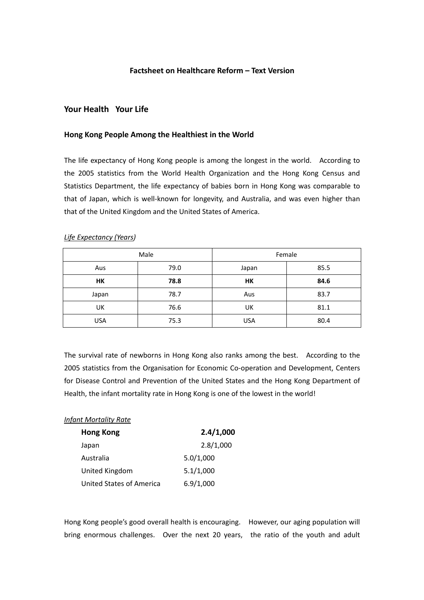### **Factsheet on Healthcare Reform – Text Version**

# **Your Health Your Life**

#### **Hong Kong People Among the Healthiest in the World**

The life expectancy of Hong Kong people is among the longest in the world. According to the 2005 statistics from the World Health Organization and the Hong Kong Census and Statistics Department, the life expectancy of babies born in Hong Kong was comparable to that of Japan, which is well‐known for longevity, and Australia, and was even higher than that of the United Kingdom and the United States of America.

| Male       |      | Female     |      |
|------------|------|------------|------|
| Aus        | 79.0 | Japan      | 85.5 |
| HK         | 78.8 | HK         | 84.6 |
| Japan      | 78.7 | Aus        | 83.7 |
| UK         | 76.6 | UK         | 81.1 |
| <b>USA</b> | 75.3 | <b>USA</b> | 80.4 |

# *Life Expectancy (Years)*

The survival rate of newborns in Hong Kong also ranks among the best. According to the 2005 statistics from the Organisation for Economic Co-operation and Development, Centers for Disease Control and Prevention of the United States and the Hong Kong Department of Health, the infant mortality rate in Hong Kong is one of the lowest in the world!

#### *Infant Mortality Rate*

| <b>Hong Kong</b>         | 2.4/1,000 |  |
|--------------------------|-----------|--|
| Japan                    | 2.8/1,000 |  |
| Australia                | 5.0/1,000 |  |
| United Kingdom           | 5.1/1,000 |  |
| United States of America | 6.9/1,000 |  |

Hong Kong people's good overall health is encouraging. However, our aging population will bring enormous challenges. Dver the next 20 years, the ratio of the youth and adult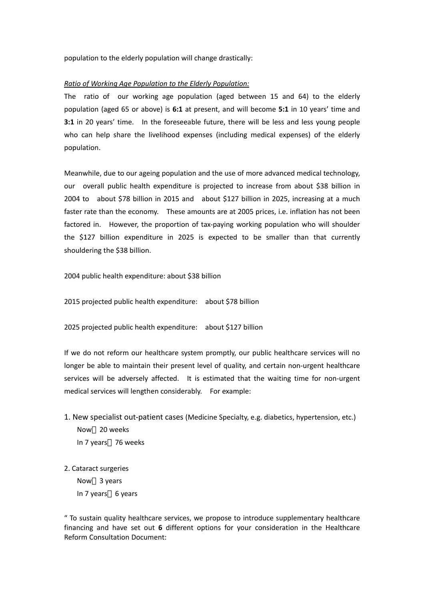population to the elderly population will change drastically:

## *Ratio of Working Age Population to the Elderly Population:*

The ratio of our working age population (aged between 15 and 64) to the elderly population (aged 65 or above) is **6:1** at present, and will become **5:1** in 10 years' time and **3:1** in 20 years' time. In the foreseeable future, there will be less and less young people who can help share the livelihood expenses (including medical expenses) of the elderly population.

Meanwhile, due to our ageing population and the use of more advanced medical technology, our overall public health expenditure is projected to increase from about \$38 billion in 2004 to about \$78 billion in 2015 and about \$127 billion in 2025, increasing at a much faster rate than the economy. These amounts are at 2005 prices, i.e. inflation has not been factored in. However, the proportion of tax-paying working population who will shoulder the \$127 billion expenditure in 2025 is expected to be smaller than that currently shouldering the \$38 billion.

2004 public health expenditure: about \$38 billion

2015 projected public health expenditure: about \$78 billion

2025 projected public health expenditure: about \$127 billion

If we do not reform our healthcare system promptly, our public healthcare services will no longer be able to maintain their present level of quality, and certain non‐urgent healthcare services will be adversely affected. It is estimated that the waiting time for non-urgent medical services will lengthen considerably. For example:

- 1. New specialist out‐patient cases (Medicine Specialty, e.g. diabetics, hypertension, etc.) Now 20 weeks In 7 years 76 weeks
- 2. Cataract surgeries

Now 3 years In 7 years 6 years

" To sustain quality healthcare services, we propose to introduce supplementary healthcare financing and have set out **6** different options for your consideration in the Healthcare Reform Consultation Document: